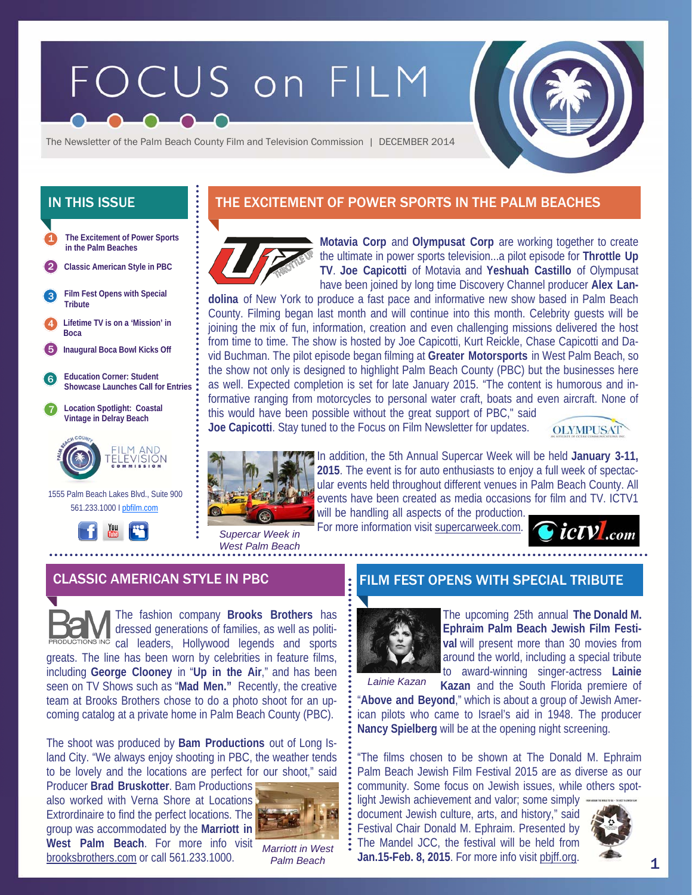# FOCUS on FILM

The Newsletter of the Palm Beach County Film and Television Commission | DECEMBER 2014

- **The Excitement of Power Sports in the Palm Beaches**  1
- 2 **Classic American Style in PBC**
- **Film Fest Opens with Special Tribute**  3
- 4 **Lifetime TV is on a 'Mission' in Boca**
- 5 **Inaugural Boca Bowl Kicks Off**
- 6 **Education Corner: Student Showcase Launches Call for Entries**
- 7 **Location Spotlight: Coastal Vintage in Delray Beach**



 1555 Palm Beach Lakes Blvd., Suite 900 561.233.1000 I pbfilm.com



# IN THIS ISSUE **THE EXCITEMENT OF POWER SPORTS IN THE PALM BEACHES**



**Motavia Corp** and **Olympusat Corp** are working together to create the ultimate in power sports television...a pilot episode for **Throttle Up TV**. **Joe Capicotti** of Motavia and **Yeshuah Castillo** of Olympusat have been joined by long time Discovery Channel producer **Alex Lan-**

**dolina** of New York to produce a fast pace and informative new show based in Palm Beach County. Filming began last month and will continue into this month. Celebrity guests will be joining the mix of fun, information, creation and even challenging missions delivered the host from time to time. The show is hosted by Joe Capicotti, Kurt Reickle, Chase Capicotti and David Buchman. The pilot episode began filming at **Greater Motorsports** in West Palm Beach, so the show not only is designed to highlight Palm Beach County (PBC) but the businesses here as well. Expected completion is set for late January 2015. "The content is humorous and informative ranging from motorcycles to personal water craft, boats and even aircraft. None of this would have been possible without the great support of PBC," said

**Joe Capicotti**. Stay tuned to the Focus on Film Newsletter for updates.





*West Palm Beach* 

In addition, the 5th Annual Supercar Week will be held **January 3-11, 2015**. The event is for auto enthusiasts to enjoy a full week of spectacular events held throughout different venues in Palm Beach County. All events have been created as media occasions for film and TV. ICTV1 will be handling all aspects of the production.

For more information visit supercarweek.com.



# CLASSIC AMERICAN STYLE IN PBC FILM FEST OPENS WITH SPECIAL TRIBUTE

The fashion company **Brooks Brothers** has dressed generations of families, as well as politi-<sup>vc</sup> cal leaders, Hollywood legends and sports greats. The line has been worn by celebrities in feature films, including **George Clooney** in "**Up in the Air**," and has been seen on TV Shows such as "**Mad Men."** Recently, the creative team at Brooks Brothers chose to do a photo shoot for an upcoming catalog at a private home in Palm Beach County (PBC).

The shoot was produced by **Bam Productions** out of Long Island City. "We always enjoy shooting in PBC, the weather tends to be lovely and the locations are perfect for our shoot," said

Producer **Brad Bruskotter**. Bam Productions also worked with Verna Shore at Locations Extrordinaire to find the perfect locations. The group was accommodated by the **Marriott in**  West Palm Beach. For more info visit brooksbrothers.com or call 561.233.1000.



*Marriott in West Palm Beach* 



The upcoming 25th annual **The Donald M. Ephraim Palm Beach Jewish Film Festival** will present more than 30 movies from around the world, including a special tribute

*Lainie Kazan* 

to award-winning singer-actress **Lainie Kazan** and the South Florida premiere of

"**Above and Beyond**," which is about a group of Jewish American pilots who came to Israel's aid in 1948. The producer **Nancy Spielberg** will be at the opening night screening.

"The films chosen to be shown at The Donald M. Ephraim Palm Beach Jewish Film Festival 2015 are as diverse as our community. Some focus on Jewish issues, while others spot-

light Jewish achievement and valor; some simply document Jewish culture, arts, and history," said Festival Chair Donald M. Ephraim. Presented by The Mandel JCC, the festival will be held from **Jan.15-Feb. 8, 2015**. For more info visit pbjff.org.

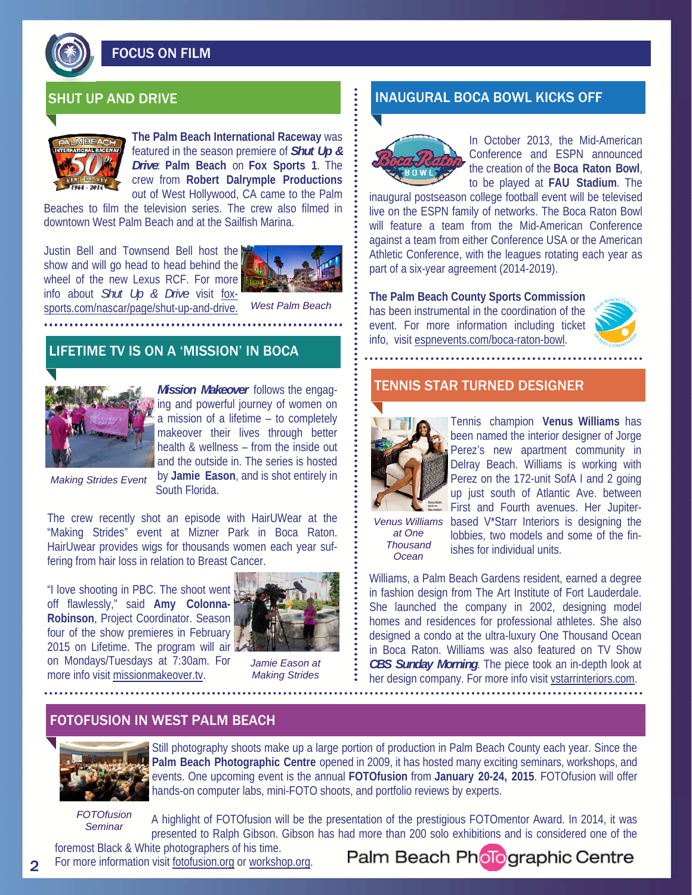

# FOCUS ON FILM



**The Palm Beach International Raceway** was featured in the season premiere of *Shut Up & Drive*: **Palm Beach** on **Fox Sports 1**. The crew from **Robert Dalrymple Productions** out of West Hollywood, CA came to the Palm

Beaches to film the television series. The crew also filmed in downtown West Palm Beach and at the Sailfish Marina.

Justin Bell and Townsend Bell host the show and will go head to head behind the wheel of the new Lexus RCF. For more info about *Shut Up & Drive* visit foxsports.com/nascar/page/shut-up-and-drive.



*West Palm Beach* 

# LIFETIME TV IS ON A 'MISSION' IN BOCA



*Mission Makeover* follows the engaging and powerful journey of women on a mission of a lifetime – to completely makeover their lives through better health & wellness – from the inside out and the outside in. The series is hosted by **Jamie Eason**, and is shot entirely in

*Making Strides Event* 

South Florida.

The crew recently shot an episode with HairUWear at the "Making Strides" event at Mizner Park in Boca Raton. HairUwear provides wigs for thousands women each year suffering from hair loss in relation to Breast Cancer.

"I love shooting in PBC. The shoot went off flawlessly," said **Amy Colonna-Robinson**, Project Coordinator. Season four of the show premieres in February 2015 on Lifetime. The program will air on Mondays/Tuesdays at 7:30am. For more info visit missionmakeover.tv.



*Jamie Eason at Making Strides* 

# SHUT UP AND DRIVE INAUGURAL BOCA BOWL KICKS OFF



In October 2013, the Mid-American Conference and ESPN announced the creation of the **Boca Raton Bowl**, to be played at **FAU Stadium**. The

inaugural postseason college football event will be televised live on the ESPN family of networks. The Boca Raton Bowl will feature a team from the Mid-American Conference against a team from either Conference USA or the American Athletic Conference, with the leagues rotating each year as part of a six-year agreement (2014-2019).

**The Palm Beach County Sports Commission**  has been instrumental in the coordination of the event. For more information including ticket info, visit espnevents.com/boca-raton-bowl.



### TENNIS STAR TURNED DESIGNER



Tennis champion **Venus Williams** has been named the interior designer of Jorge Perez's new apartment community in Delray Beach. Williams is working with Perez on the 172-unit SofA I and 2 going up just south of Atlantic Ave. between First and Fourth avenues. Her Jupiter-

*Venus Williams at One Thousand Ocean* 

based V\*Starr Interiors is designing the lobbies, two models and some of the finishes for individual units.

Williams, a Palm Beach Gardens resident, earned a degree in fashion design from The Art Institute of Fort Lauderdale. She launched the company in 2002, designing model homes and residences for professional athletes. She also designed a condo at the ultra-luxury One Thousand Ocean in Boca Raton. Williams was also featured on TV Show *CBS Sunday Morning*. The piece took an in-depth look at her design company. For more info visit vstarrinteriors.com.

### FOTOFUSION IN WEST PALM BEACH



Still photography shoots make up a large portion of production in Palm Beach County each year. Since the **Palm Beach Photographic Centre** opened in 2009, it has hosted many exciting seminars, workshops, and events. One upcoming event is the annual **FOTOfusion** from **January 20-24, 2015**. FOTOfusion will offer hands-on computer labs, mini-FOTO shoots, and portfolio reviews by experts.

*FOTOfusion Seminar* 

2

A highlight of FOTOfusion will be the presentation of the prestigious FOTOmentor Award. In 2014, it was presented to Ralph Gibson. Gibson has had more than 200 solo exhibitions and is considered one of the foremost Black & White photographers of his time.

For more information visit fotofusion.org or workshop.org.

# Palm Beach Pholographic Centre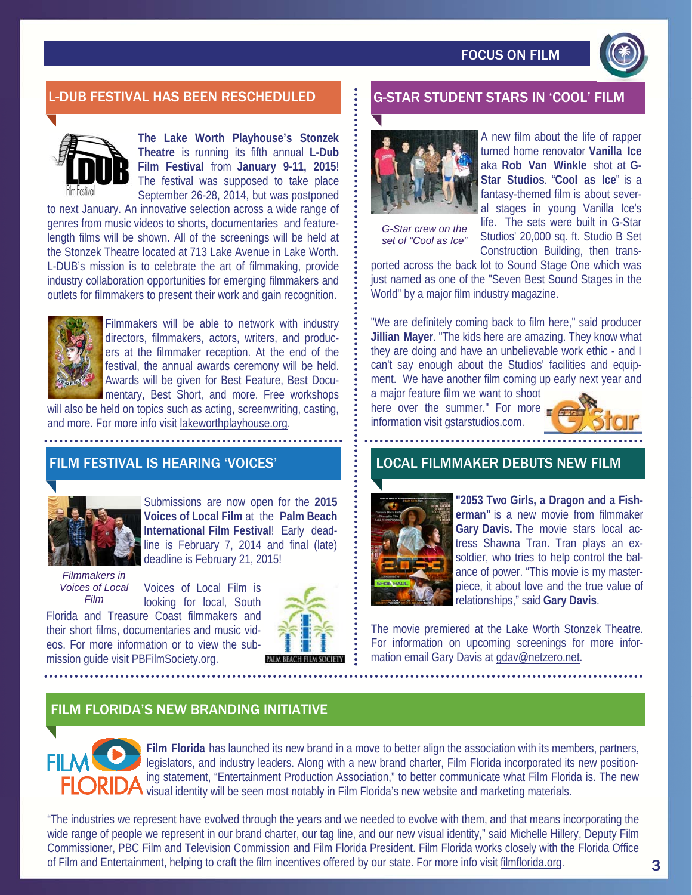

# L-DUB FESTIVAL HAS BEEN RESCHEDULED G-STAR STUDENT STARS IN 'COOL' FILM



**The Lake Worth Playhouse's Stonzek Theatre** is running its fifth annual **L-Dub Film Festival** from **January 9-11, 2015**! The festival was supposed to take place September 26-28, 2014, but was postponed

to next January. An innovative selection across a wide range of genres from music videos to shorts, documentaries and featurelength films will be shown. All of the screenings will be held at the Stonzek Theatre located at 713 Lake Avenue in Lake Worth. L-DUB's mission is to celebrate the art of filmmaking, provide industry collaboration opportunities for emerging filmmakers and outlets for filmmakers to present their work and gain recognition.



Filmmakers will be able to network with industry directors, filmmakers, actors, writers, and producers at the filmmaker reception. At the end of the festival, the annual awards ceremony will be held. Awards will be given for Best Feature, Best Documentary, Best Short, and more. Free workshops

will also be held on topics such as acting, screenwriting, casting, and more. For more info visit lakeworthplayhouse.org.

# FILM FESTIVAL IS HEARING 'VOICES'



Submissions are now open for the **2015 Voices of Local Film** at the **Palm Beach International Film Festival**! Early deadline is February 7, 2014 and final (late) deadline is February 21, 2015!

*Filmmakers in Voices of Local Film* 

Voices of Local Film is looking for local, South

Florida and Treasure Coast filmmakers and their short films, documentaries and music videos. For more information or to view the submission guide visit PBFilmSociety.org.





*G-Star crew on the set of "Cool as Ice"* 

A new film about the life of rapper turned home renovator **Vanilla Ice**  aka **Rob Van Winkle** shot at **G-Star Studios**. "**Cool as Ice**" is a fantasy-themed film is about several stages in young Vanilla Ice's life. The sets were built in G-Star Studios' 20,000 sq. ft. Studio B Set Construction Building, then trans-

ported across the back lot to Sound Stage One which was just named as one of the "Seven Best Sound Stages in the World" by a major film industry magazine.

"We are definitely coming back to film here," said producer **Jillian Mayer**. "The kids here are amazing. They know what they are doing and have an unbelievable work ethic - and I can't say enough about the Studios' facilities and equipment. We have another film coming up early next year and

a major feature film we want to shoot here over the summer." For more information visit gstarstudios.com.



### LOCAL FILMMAKER DEBUTS NEW FILM



**"2053 Two Girls, a Dragon and a Fisherman"** is a new movie from filmmaker **Gary Davis.** The movie stars local actress Shawna Tran. Tran plays an exsoldier, who tries to help control the balance of power. "This movie is my masterpiece, it about love and the true value of relationships," said **Gary Davis**.

The movie premiered at the Lake Worth Stonzek Theatre. For information on upcoming screenings for more information email Gary Davis at gdav@netzero.net.

# FILM FLORIDA'S NEW BRANDING INITIATIVE



**Film Florida** has launched its new brand in a move to better align the association with its members, partners, legislators, and industry leaders. Along with a new brand charter, Film Florida incorporated its new positioning statement, "Entertainment Production Association," to better communicate what Film Florida is. The new **24** visual identity will be seen most notably in Film Florida's new website and marketing materials.

"The industries we represent have evolved through the years and we needed to evolve with them, and that means incorporating the wide range of people we represent in our brand charter, our tag line, and our new visual identity," said Michelle Hillery, Deputy Film Commissioner, PBC Film and Television Commission and Film Florida President. Film Florida works closely with the Florida Office of Film and Entertainment, helping to craft the film incentives offered by our state. For more info visit filmflorida.org.